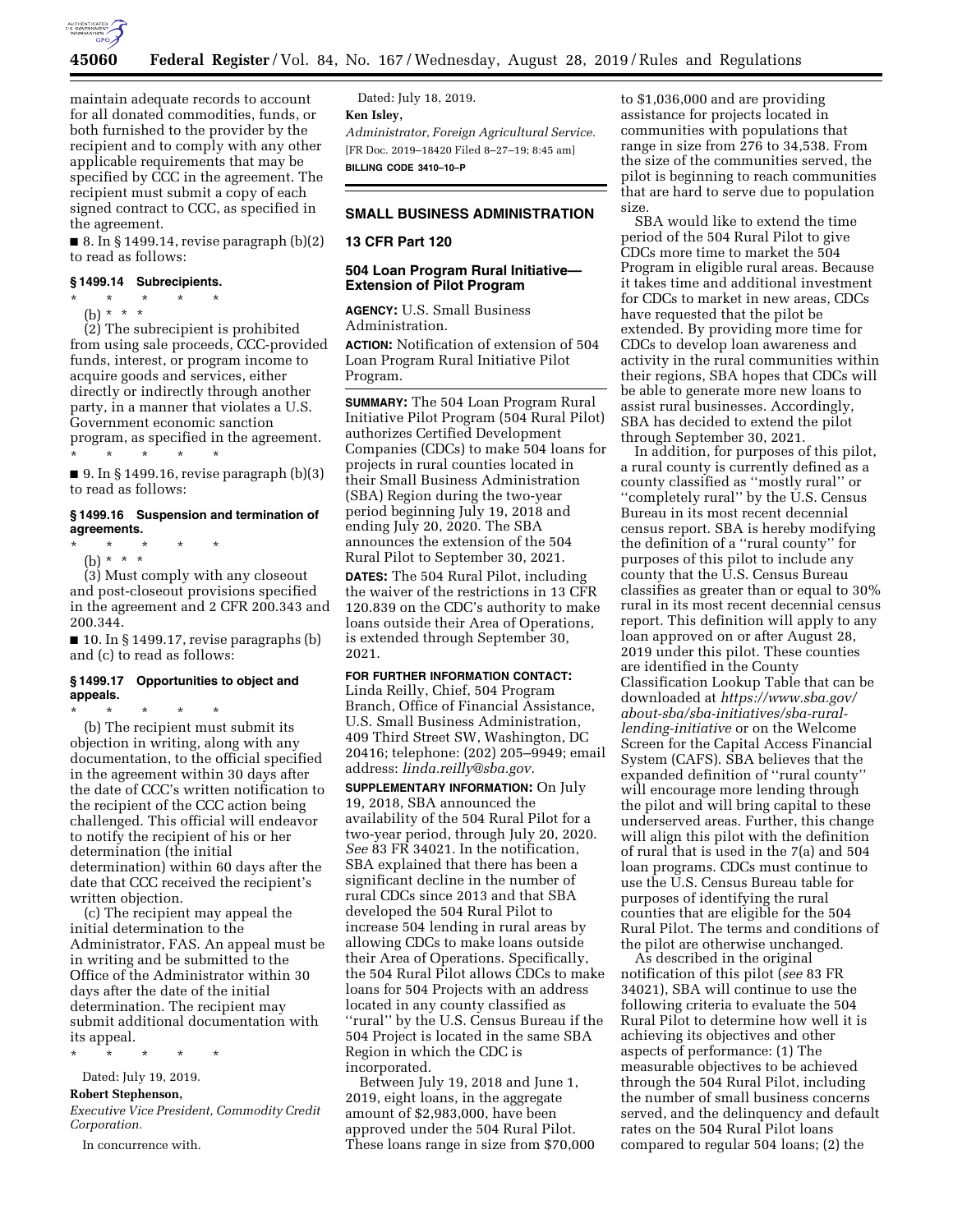

maintain adequate records to account for all donated commodities, funds, or both furnished to the provider by the recipient and to comply with any other applicable requirements that may be specified by CCC in the agreement. The recipient must submit a copy of each signed contract to CCC, as specified in the agreement.

 $\blacksquare$  8. In § 1499.14, revise paragraph  $(b)(2)$ to read as follows:

### **§ 1499.14 Subrecipients.**

\* \* \* \* \* (b) \* \* \*

(2) The subrecipient is prohibited from using sale proceeds, CCC-provided funds, interest, or program income to acquire goods and services, either directly or indirectly through another party, in a manner that violates a U.S. Government economic sanction program, as specified in the agreement. \* \* \* \* \*

■ 9. In § 1499.16, revise paragraph  $(b)(3)$ to read as follows:

### **§ 1499.16 Suspension and termination of agreements.**

\* \* \* \* \*

(b) \* \* \*

(3) Must comply with any closeout and post-closeout provisions specified in the agreement and 2 CFR 200.343 and 200.344.

■ 10. In § 1499.17, revise paragraphs (b) and (c) to read as follows:

### **§ 1499.17 Opportunities to object and appeals.**

\* \* \* \* \* (b) The recipient must submit its objection in writing, along with any documentation, to the official specified in the agreement within 30 days after the date of CCC's written notification to the recipient of the CCC action being challenged. This official will endeavor to notify the recipient of his or her determination (the initial determination) within 60 days after the date that CCC received the recipient's written objection.

(c) The recipient may appeal the initial determination to the Administrator, FAS. An appeal must be in writing and be submitted to the Office of the Administrator within 30 days after the date of the initial determination. The recipient may submit additional documentation with its appeal.

\* \* \* \* \*

### Dated: July 19, 2019.

### **Robert Stephenson,**

*Executive Vice President, Commodity Credit Corporation.* 

In concurrence with.

Dated: July 18, 2019. **Ken Isley,**  *Administrator, Foreign Agricultural Service.*  [FR Doc. 2019–18420 Filed 8–27–19; 8:45 am] **BILLING CODE 3410–10–P** 

# **SMALL BUSINESS ADMINISTRATION**

## **13 CFR Part 120**

## **504 Loan Program Rural Initiative— Extension of Pilot Program**

**AGENCY:** U.S. Small Business Administration.

**ACTION:** Notification of extension of 504 Loan Program Rural Initiative Pilot Program.

**SUMMARY:** The 504 Loan Program Rural Initiative Pilot Program (504 Rural Pilot) authorizes Certified Development Companies (CDCs) to make 504 loans for projects in rural counties located in their Small Business Administration (SBA) Region during the two-year period beginning July 19, 2018 and ending July 20, 2020. The SBA announces the extension of the 504 Rural Pilot to September 30, 2021.

**DATES:** The 504 Rural Pilot, including the waiver of the restrictions in 13 CFR 120.839 on the CDC's authority to make loans outside their Area of Operations, is extended through September 30, 2021.

## **FOR FURTHER INFORMATION CONTACT:**

Linda Reilly, Chief, 504 Program Branch, Office of Financial Assistance, U.S. Small Business Administration, 409 Third Street SW, Washington, DC 20416; telephone: (202) 205–9949; email address: *[linda.reilly@sba.gov.](mailto:linda.reilly@sba.gov)* 

**SUPPLEMENTARY INFORMATION:** On July 19, 2018, SBA announced the availability of the 504 Rural Pilot for a two-year period, through July 20, 2020. *See* 83 FR 34021. In the notification, SBA explained that there has been a significant decline in the number of rural CDCs since 2013 and that SBA developed the 504 Rural Pilot to increase 504 lending in rural areas by allowing CDCs to make loans outside their Area of Operations. Specifically, the 504 Rural Pilot allows CDCs to make loans for 504 Projects with an address located in any county classified as ''rural'' by the U.S. Census Bureau if the 504 Project is located in the same SBA Region in which the CDC is incorporated.

Between July 19, 2018 and June 1, 2019, eight loans, in the aggregate amount of \$2,983,000, have been approved under the 504 Rural Pilot. These loans range in size from \$70,000

to \$1,036,000 and are providing assistance for projects located in communities with populations that range in size from 276 to 34,538. From the size of the communities served, the pilot is beginning to reach communities that are hard to serve due to population size.

SBA would like to extend the time period of the 504 Rural Pilot to give CDCs more time to market the 504 Program in eligible rural areas. Because it takes time and additional investment for CDCs to market in new areas, CDCs have requested that the pilot be extended. By providing more time for CDCs to develop loan awareness and activity in the rural communities within their regions, SBA hopes that CDCs will be able to generate more new loans to assist rural businesses. Accordingly, SBA has decided to extend the pilot through September 30, 2021.

In addition, for purposes of this pilot, a rural county is currently defined as a county classified as ''mostly rural'' or "completely rural" by the U.S. Census Bureau in its most recent decennial census report. SBA is hereby modifying the definition of a ''rural county'' for purposes of this pilot to include any county that the U.S. Census Bureau classifies as greater than or equal to 30% rural in its most recent decennial census report. This definition will apply to any loan approved on or after August 28, 2019 under this pilot. These counties are identified in the County Classification Lookup Table that can be downloaded at *[https://www.sba.gov/](https://www.sba.gov/about-sba/sba-initiatives/sba-rural-lending-initiative)  [about-sba/sba-initiatives/sba-rural](https://www.sba.gov/about-sba/sba-initiatives/sba-rural-lending-initiative)[lending-initiative](https://www.sba.gov/about-sba/sba-initiatives/sba-rural-lending-initiative)* or on the Welcome Screen for the Capital Access Financial System (CAFS). SBA believes that the expanded definition of ''rural county'' will encourage more lending through the pilot and will bring capital to these underserved areas. Further, this change will align this pilot with the definition of rural that is used in the 7(a) and 504 loan programs. CDCs must continue to use the U.S. Census Bureau table for purposes of identifying the rural counties that are eligible for the 504 Rural Pilot. The terms and conditions of the pilot are otherwise unchanged.

As described in the original notification of this pilot (*see* 83 FR 34021), SBA will continue to use the following criteria to evaluate the 504 Rural Pilot to determine how well it is achieving its objectives and other aspects of performance: (1) The measurable objectives to be achieved through the 504 Rural Pilot, including the number of small business concerns served, and the delinquency and default rates on the 504 Rural Pilot loans compared to regular 504 loans; (2) the